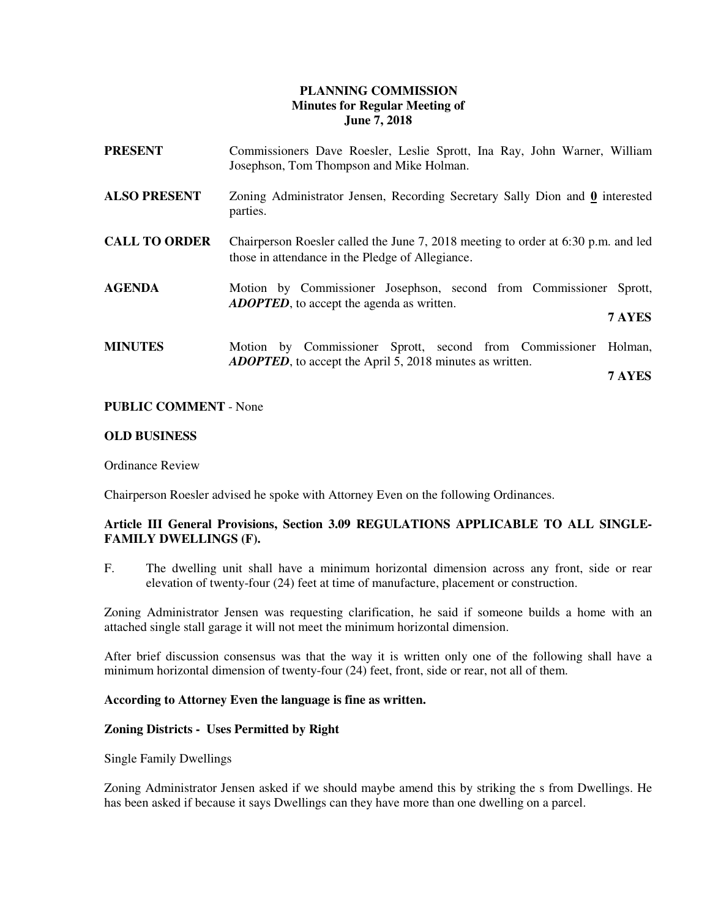## **PLANNING COMMISSION Minutes for Regular Meeting of June 7, 2018**

| PRESENT              | Commissioners Dave Roesler, Leslie Sprott, Ina Ray, John Warner, William<br>Josephson, Tom Thompson and Mike Holman.                   |  |  |  |
|----------------------|----------------------------------------------------------------------------------------------------------------------------------------|--|--|--|
| <b>ALSO PRESENT</b>  | Zoning Administrator Jensen, Recording Secretary Sally Dion and 0 interested<br>parties.                                               |  |  |  |
| <b>CALL TO ORDER</b> | Chairperson Roesler called the June 7, 2018 meeting to order at 6:30 p.m. and led<br>those in attendance in the Pledge of Allegiance.  |  |  |  |
| <b>AGENDA</b>        | Motion by Commissioner Josephson, second from Commissioner<br>Sprott,<br><b>ADOPTED</b> , to accept the agenda as written.<br>7 AYES   |  |  |  |
|                      |                                                                                                                                        |  |  |  |
| <b>MINUTES</b>       | Motion by Commissioner Sprott, second from Commissioner<br>Holman,<br><b>ADOPTED</b> , to accept the April 5, 2018 minutes as written. |  |  |  |
|                      | 7 AYES                                                                                                                                 |  |  |  |

#### **PUBLIC COMMENT** - None

#### **OLD BUSINESS**

Ordinance Review

Chairperson Roesler advised he spoke with Attorney Even on the following Ordinances.

### **Article III General Provisions, Section 3.09 REGULATIONS APPLICABLE TO ALL SINGLE-FAMILY DWELLINGS (F).**

F. The dwelling unit shall have a minimum horizontal dimension across any front, side or rear elevation of twenty-four (24) feet at time of manufacture, placement or construction.

Zoning Administrator Jensen was requesting clarification, he said if someone builds a home with an attached single stall garage it will not meet the minimum horizontal dimension.

After brief discussion consensus was that the way it is written only one of the following shall have a minimum horizontal dimension of twenty-four (24) feet, front, side or rear, not all of them.

#### **According to Attorney Even the language is fine as written.**

#### **Zoning Districts - Uses Permitted by Right**

Single Family Dwellings

Zoning Administrator Jensen asked if we should maybe amend this by striking the s from Dwellings. He has been asked if because it says Dwellings can they have more than one dwelling on a parcel.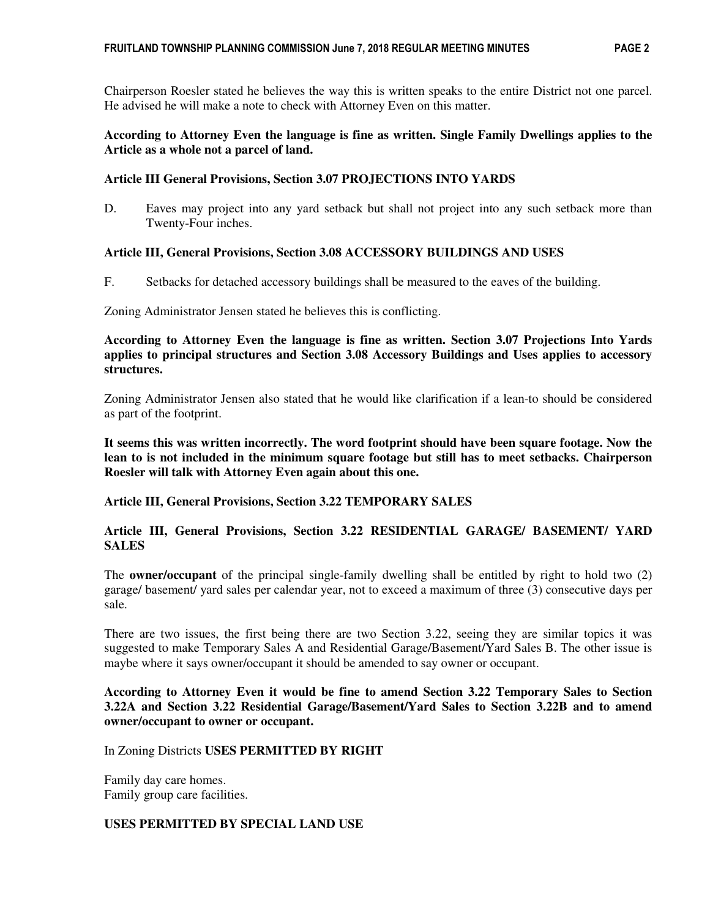Chairperson Roesler stated he believes the way this is written speaks to the entire District not one parcel. He advised he will make a note to check with Attorney Even on this matter.

## **According to Attorney Even the language is fine as written. Single Family Dwellings applies to the Article as a whole not a parcel of land.**

## **Article III General Provisions, Section 3.07 PROJECTIONS INTO YARDS**

D. Eaves may project into any yard setback but shall not project into any such setback more than Twenty-Four inches.

# **Article III, General Provisions, Section 3.08 ACCESSORY BUILDINGS AND USES**

F. Setbacks for detached accessory buildings shall be measured to the eaves of the building.

Zoning Administrator Jensen stated he believes this is conflicting.

**According to Attorney Even the language is fine as written. Section 3.07 Projections Into Yards applies to principal structures and Section 3.08 Accessory Buildings and Uses applies to accessory structures.** 

Zoning Administrator Jensen also stated that he would like clarification if a lean-to should be considered as part of the footprint.

**It seems this was written incorrectly. The word footprint should have been square footage. Now the lean to is not included in the minimum square footage but still has to meet setbacks. Chairperson Roesler will talk with Attorney Even again about this one.** 

### **Article III, General Provisions, Section 3.22 TEMPORARY SALES**

**Article III, General Provisions, Section 3.22 RESIDENTIAL GARAGE/ BASEMENT/ YARD SALES** 

The **owner/occupant** of the principal single-family dwelling shall be entitled by right to hold two (2) garage/ basement/ yard sales per calendar year, not to exceed a maximum of three (3) consecutive days per sale.

There are two issues, the first being there are two Section 3.22, seeing they are similar topics it was suggested to make Temporary Sales A and Residential Garage/Basement/Yard Sales B. The other issue is maybe where it says owner/occupant it should be amended to say owner or occupant.

## **According to Attorney Even it would be fine to amend Section 3.22 Temporary Sales to Section 3.22A and Section 3.22 Residential Garage/Basement/Yard Sales to Section 3.22B and to amend owner/occupant to owner or occupant.**

### In Zoning Districts **USES PERMITTED BY RIGHT**

Family day care homes. Family group care facilities.

### **USES PERMITTED BY SPECIAL LAND USE**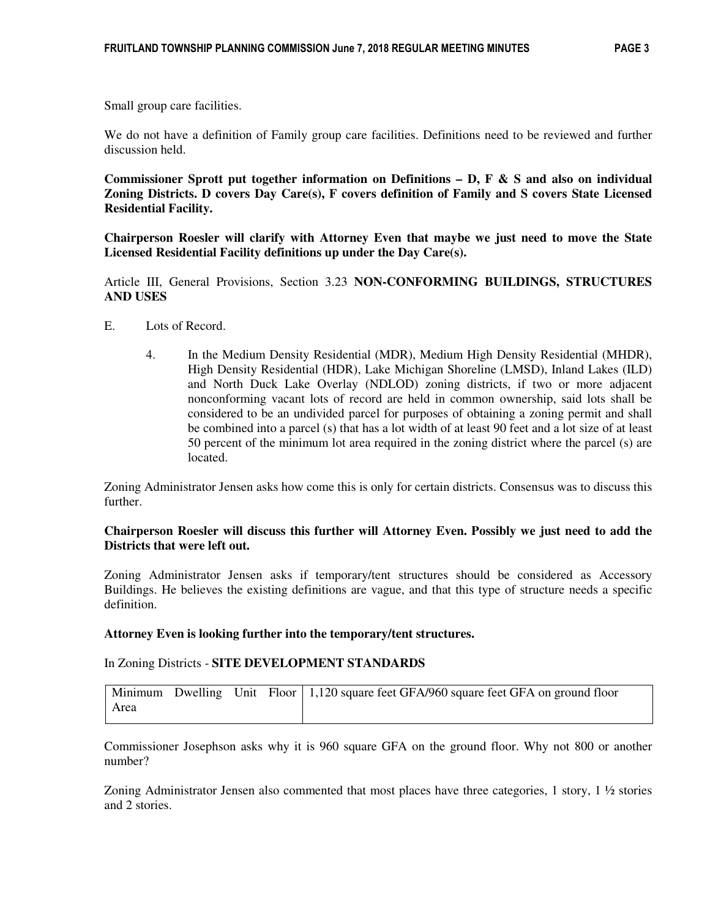We do not have a definition of Family group care facilities. Definitions need to be reviewed and further discussion held.

**Commissioner Sprott put together information on Definitions – D, F & S and also on individual Zoning Districts. D covers Day Care(s), F covers definition of Family and S covers State Licensed Residential Facility.** 

**Chairperson Roesler will clarify with Attorney Even that maybe we just need to move the State Licensed Residential Facility definitions up under the Day Care(s).** 

Article III, General Provisions, Section 3.23 **NON-CONFORMING BUILDINGS, STRUCTURES AND USES** 

- E. Lots of Record.
	- 4. In the Medium Density Residential (MDR), Medium High Density Residential (MHDR), High Density Residential (HDR), Lake Michigan Shoreline (LMSD), Inland Lakes (ILD) and North Duck Lake Overlay (NDLOD) zoning districts, if two or more adjacent nonconforming vacant lots of record are held in common ownership, said lots shall be considered to be an undivided parcel for purposes of obtaining a zoning permit and shall be combined into a parcel (s) that has a lot width of at least 90 feet and a lot size of at least 50 percent of the minimum lot area required in the zoning district where the parcel (s) are located.

Zoning Administrator Jensen asks how come this is only for certain districts. Consensus was to discuss this further.

#### **Chairperson Roesler will discuss this further will Attorney Even. Possibly we just need to add the Districts that were left out.**

Zoning Administrator Jensen asks if temporary/tent structures should be considered as Accessory Buildings. He believes the existing definitions are vague, and that this type of structure needs a specific definition.

#### **Attorney Even is looking further into the temporary/tent structures.**

In Zoning Districts - **SITE DEVELOPMENT STANDARDS**

|      |  | Minimum Dwelling Unit Floor   1,120 square feet GFA/960 square feet GFA on ground floor |
|------|--|-----------------------------------------------------------------------------------------|
| Area |  |                                                                                         |

Commissioner Josephson asks why it is 960 square GFA on the ground floor. Why not 800 or another number?

Zoning Administrator Jensen also commented that most places have three categories, 1 story, 1 ½ stories and 2 stories.